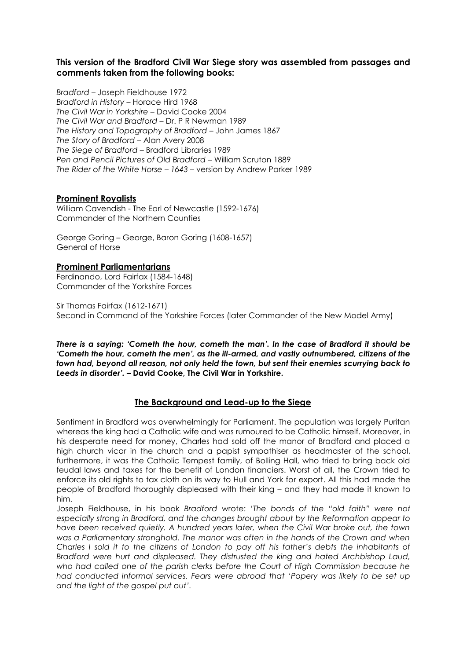# **This version of the Bradford Civil War Siege story was assembled from passages and comments taken from the following books:**

*Bradford –* Joseph Fieldhouse 1972 *Bradford in History –* Horace Hird 1968 *The Civil War in Yorkshire –* David Cooke 2004 *The Civil War and Bradford –* Dr. P R Newman 1989 *The History and Topography of Bradford –* John James 1867 *The Story of Bradford –* Alan Avery 2008 *The Siege of Bradford* – Bradford Libraries 1989 *Pen and Pencil Pictures of Old Bradford –* William Scruton 1889 *The Rider of the White Horse – 1643 –* version by Andrew Parker 1989

### **Prominent Royalists**

William Cavendish - The Earl of Newcastle (1592-1676) Commander of the Northern Counties

George Goring – George, Baron Goring (1608-1657) General of Horse

### **Prominent Parliamentarians**

Ferdinando, Lord Fairfax (1584-1648) Commander of the Yorkshire Forces

Sir Thomas Fairfax (1612-1671) Second in Command of the Yorkshire Forces (later Commander of the New Model Army)

*There is a saying: 'Cometh the hour, cometh the man'. In the case of Bradford it should be 'Cometh the hour, cometh the men', as the ill-armed, and vastly outnumbered, citizens of the town had, beyond all reason, not only held the town, but sent their enemies scurrying back to Leeds in disorder'. –* **David Cooke, The Civil War in Yorkshire.** 

## **The Background and Lead-up to the Siege**

Sentiment in Bradford was overwhelmingly for Parliament. The population was largely Puritan whereas the king had a Catholic wife and was rumoured to be Catholic himself. Moreover, in his desperate need for money, Charles had sold off the manor of Bradford and placed a high church vicar in the church and a papist sympathiser as headmaster of the school, furthermore, it was the Catholic Tempest family, of Bolling Hall, who tried to bring back old feudal laws and taxes for the benefit of London financiers. Worst of all, the Crown tried to enforce its old rights to tax cloth on its way to Hull and York for export. All this had made the people of Bradford thoroughly displeased with their king – and they had made it known to him.

Joseph Fieldhouse, in his book *Bradford* wrote: '*The bonds of the "old faith" were not especially strong in Bradford, and the changes brought about by the Reformation appear to have been received quietly. A hundred years later, when the Civil War broke out, the town was a Parliamentary stronghold. The manor was often in the hands of the Crown and when Charles I sold it to the citizens of London to pay off his father's debts the inhabitants of Bradford were hurt and displeased. They distrusted the king and hated Archbishop Laud, who had called one of the parish clerks before the Court of High Commission because he had conducted informal services. Fears were abroad that 'Popery was likely to be set up and the light of the gospel put out'.*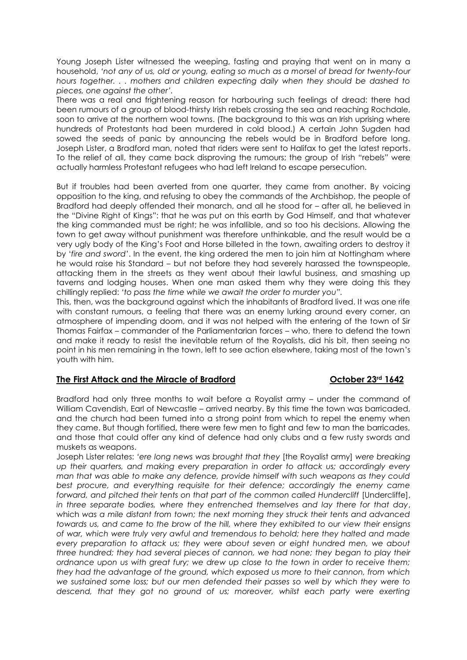Young Joseph Lister witnessed the weeping, fasting and praying that went on in many a household, *'not any of us, old or young, eating so much as a morsel of bread for twenty-four hours together. . . mothers and children expecting daily when they should be dashed to pieces, one against the other'.* 

There was a real and frightening reason for harbouring such feelings of dread: there had been rumours of a group of blood-thirsty Irish rebels crossing the sea and reaching Rochdale, soon to arrive at the northern wool towns. (The background to this was an Irish uprising where hundreds of Protestants had been murdered in cold blood.) A certain John Sugden had sowed the seeds of panic by announcing the rebels would be in Bradford before long. Joseph Lister, a Bradford man, noted that riders were sent to Halifax to get the latest reports. To the relief of all, they came back disproving the rumours; the group of Irish "rebels" were actually harmless Protestant refugees who had left Ireland to escape persecution.

But if troubles had been averted from one quarter, they came from another. By voicing opposition to the king, and refusing to obey the commands of the Archbishop, the people of Bradford had deeply offended their monarch, and all he stood for – after all, he believed in the "Divine Right of Kings": that he was put on this earth by God Himself, and that whatever the king commanded must be right; he was infallible, and so too his decisions. Allowing the town to get away without punishment was therefore unthinkable, and the result would be a very ugly body of the King's Foot and Horse billeted in the town, awaiting orders to destroy it by '*fire and sword'*. In the event, the king ordered the men to join him at Nottingham where he would raise his Standard – but not before they had severely harassed the townspeople, attacking them in the streets as they went about their lawful business, and smashing up taverns and lodging houses. When one man asked them why they were doing this they chillingly replied: *'to pass the time while we await the order to murder you".*

This, then, was the background against which the inhabitants of Bradford lived. It was one rife with constant rumours, a feeling that there was an enemy lurking around every corner, an atmosphere of impending doom, and it was not helped with the entering of the town of Sir Thomas Fairfax – commander of the Parliamentarian forces – who, there to defend the town and make it ready to resist the inevitable return of the Royalists, did his bit, then seeing no point in his men remaining in the town, left to see action elsewhere, taking most of the town's youth with him.

### **The First Attack and the Miracle of Bradford October 23rd 1642**

Bradford had only three months to wait before a Royalist army – under the command of William Cavendish, Earl of Newcastle – arrived nearby. By this time the town was barricaded, and the church had been turned into a strong point from which to repel the enemy when they came. But though fortified, there were few men to fight and few to man the barricades, and those that could offer any kind of defence had only clubs and a few rusty swords and muskets as weapons.

Joseph Lister relates: *'ere long news was brought that they* [the Royalist army] *were breaking up their quarters, and making every preparation in order to attack us; accordingly every man that was able to make any defence, provide himself with such weapons as they could*  best procure, and everything requisite for their defence; accordingly the enemy came forward, and pitched their tents on that part of the common called Hundercliff [Undercliffe], *in three separate bodies, where they entrenched themselves and lay there for that day*, which *was a mile distant from town; the next morning they struck their tents and advanced towards us, and came to the brow of the hill, where they exhibited to our view their ensigns of war, which were truly very awful and tremendous to behold; here they halted and made every preparation to attack us; they were about seven or eight hundred men, we about three hundred; they had several pieces of cannon, we had none; they began to play their ordnance upon us with great fury; we drew up close to the town in order to receive them; they had the advantage of the ground, which exposed us more to their cannon, from which we sustained some loss; but our men defended their passes so well by which they were to*  descend, that they got no ground of us; moreover, whilst each party were exerting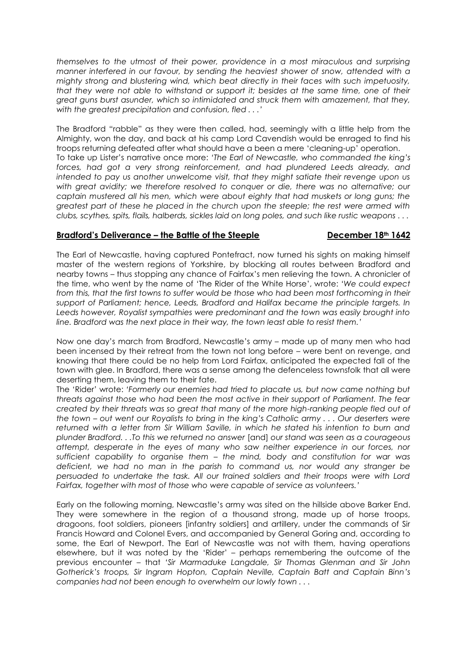*themselves to the utmost of their power, providence in a most miraculous and surprising manner interfered in our favour, by sending the heaviest shower of snow, attended with a mighty strong and blustering wind, which beat directly in their faces with such impetuosity, that they were not able to withstand or support it; besides at the same time, one of their great guns burst asunder, which so intimidated and struck them with amazement, that they, with the greatest precipitation and confusion, fled . . .'*

The Bradford "rabble" as they were then called, had, seemingly with a little help from the Almighty, won the day, and back at his camp Lord Cavendish would be enraged to find his troops returning defeated after what should have a been a mere 'cleaning-up' operation. To take up Lister's narrative once more: *'The Earl of Newcastle, who commanded the king's*  forces, had got a very strong reinforcement, and had plundered Leeds already, and *intended to pay us another unwelcome visit, that they might satiate their revenge upon us with great avidity; we therefore resolved to conquer or die, there was no alternative; our captain mustered all his men, which were about eighty that had muskets or long guns; the greatest part of these he placed in the church upon the steeple; the rest were armed with clubs, scythes, spits, flails, halberds, sickles laid on long poles, and such like rustic weapons . . .* 

### **Bradford's Deliverance – the Battle of the Steeple December 18th 1642**

The Earl of Newcastle, having captured Pontefract, now turned his sights on making himself master of the western regions of Yorkshire, by blocking all routes between Bradford and nearby towns – thus stopping any chance of Fairfax's men relieving the town. A chronicler of the time, who went by the name of 'The Rider of the White Horse', wrote: *'We could expect from this, that the first towns to suffer would be those who had been most forthcoming in their support of Parliament; hence, Leeds, Bradford and Halifax became the principle targets. In*  Leeds however, Royalist sympathies were predominant and the town was easily brought into *line. Bradford was the next place in their way, the town least able to resist them.'* 

Now one day's march from Bradford, Newcastle's army – made up of many men who had been incensed by their retreat from the town not long before – were bent on revenge, and knowing that there could be no help from Lord Fairfax, anticipated the expected fall of the town with glee. In Bradford, there was a sense among the defenceless townsfolk that all were deserting them, leaving them to their fate.

The 'Rider' wrote: *'Formerly our enemies had tried to placate us, but now came nothing but threats against those who had been the most active in their support of Parliament. The fear created by their threats was so great that many of the more high-ranking people fled out of the town – out went our Royalists to bring in the king's Catholic army . . . Our deserters were returned with a letter from Sir William Saville, in which he stated his intention to burn and plunder Bradford. . .To this we returned no answer* [and] *our stand was seen as a courageous attempt, desperate in the eyes of many who saw neither experience in our forces, nor sufficient capability to organise them – the mind, body and constitution for war was deficient, we had no man in the parish to command us, nor would any stranger be persuaded to undertake the task. All our trained soldiers and their troops were with Lord Fairfax, together with most of those who were capable of service as volunteers.'* 

Early on the following morning, Newcastle's army was sited on the hillside above Barker End. They were somewhere in the region of a thousand strong, made up of horse troops, dragoons, foot soldiers, pioneers [infantry soldiers] and artillery, under the commands of Sir Francis Howard and Colonel Evers, and accompanied by General Goring and, according to some, the Earl of Newport. The Earl of Newcastle was not with them, having operations elsewhere, but it was noted by the 'Rider' – perhaps remembering the outcome of the previous encounter – that *'Sir Marmaduke Langdale, Sir Thomas Glenman and Sir John Gotherick's troops, Sir Ingram Hopton, Captain Neville, Captain Batt and Captain Binn's companies had not been enough to overwhelm our lowly town . . .*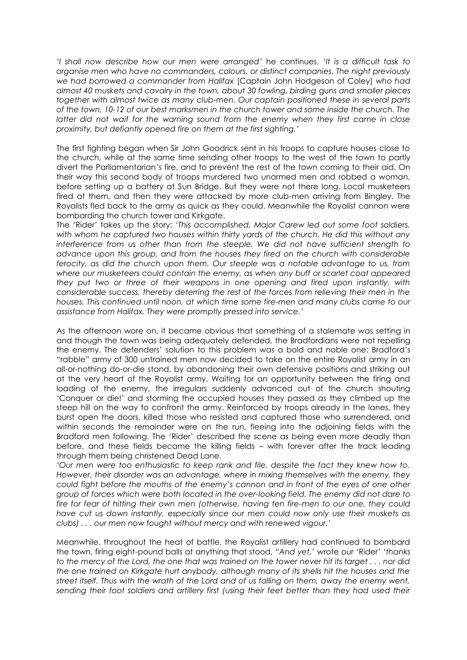*'I shall now describe how our men were arranged'* he continues, *'It is a difficult task to organise men who have no commanders, colours, or distinct companies. The night previously we had borrowed a commander from Halifax* [Captain John Hodgeson of Coley] *who had almost 40 muskets and cavalry in the town, about 30 fowling, birding* guns *and smaller pieces together with almost twice as many club-men*. *Our captain positioned these in several parts of the town, 10-12 of our best marksmen in the church tower and some inside the church. The latter did not wait for the warning sound from the enemy when they first came in close proximity, but defiantly opened fire on them at the first sighting.'*

The first fighting began when Sir John Goodrick sent in his troops to capture houses close to the church, while at the same time sending other troops to the west of the town to partly divert the Parliamentarian's fire, and to prevent the rest of the town coming to their aid. On their way this second body of troops murdered two unarmed men and robbed a woman, before setting up a battery at Sun Bridge. But they were not there long. Local musketeers fired at them, and then they were attacked by more club-men arriving from Bingley. The Royalists fled back to the army as quick as they could. Meanwhile the Royalist cannon were bombarding the church tower and Kirkgate.

The 'Rider' takes up the story: *'This accomplished, Major Carew led out some foot soldiers, with whom he captured two houses within thirty yards of the church. He did this without any interference from us other than from the steeple. We did not have sufficient strength to advance upon this group, and from the houses they fired on the church with considerable ferocity, as did the church upon them. Our steeple was a notable advantage to us, from where our musketeers could contain the enemy, as when any buff or scarlet coat appeared they put two or three of their weapons in one opening and fired upon instantly, with considerable success, thereby deterring the rest of the forces from relieving their men in the houses. This continued until noon, at which time some fire-men and many clubs came to our assistance from Halifax. They were promptly pressed into service.'*

As the afternoon wore on, it became obvious that something of a stalemate was setting in and though the town was being adequately defended, the Bradfordians were not repelling the enemy. The defenders' solution to this problem was a bold and noble one: Bradford's "rabble" army of 300 untrained men now decided to take on the entire Royalist army in an all-or-nothing do-or-die stand, by abandoning their own defensive positions and striking out at the very heart of the Royalist army. Waiting for an opportunity between the firing and loading of the enemy, the irregulars suddenly advanced out of the church shouting 'Conquer or die!' and storming the occupied houses they passed as they climbed up the steep hill on the way to confront the army. Reinforced by troops already in the lanes, they burst open the doors, killed those who resisted and captured those who surrendered, and within seconds the remainder were on the run, fleeing into the adjoining fields with the Bradford men following. The 'Rider' described the scene as being even more deadly than before, and these fields became the killing fields – with forever after the track leading through them being christened Dead Lane.

*'Our men were too enthusiastic to keep rank and file, despite the fact they knew how to. However, their disorder was an advantage, where in mixing themselves with the enemy, they could fight before the mouths of the enemy's cannon and in front of the eyes of one other group of forces which were both located in the over-looking field. The enemy did not dare to fire for fear of hitting their own men (otherwise, having ten fire-men to our one, they could have cut us down instantly, especially since our men could now only use their muskets as clubs) . . . our men now fought without mercy and with renewed vigour.'*

Meanwhile, throughout the heat of battle, the Royalist artillery had continued to bombard the town, firing eight-pound balls at anything that stood. *"And yet,'* wrote our 'Rider' *'thanks to the mercy of the Lord, the one that was trained on the tower never hit its target . . . nor did the one trained on Kirkgate hurt anybody, although many of its shells hit the houses and the street itself. Thus with the wrath of the Lord and of us falling on them, away the enemy went,*  sending their foot soldiers and artillery first (using their feet better than they had used their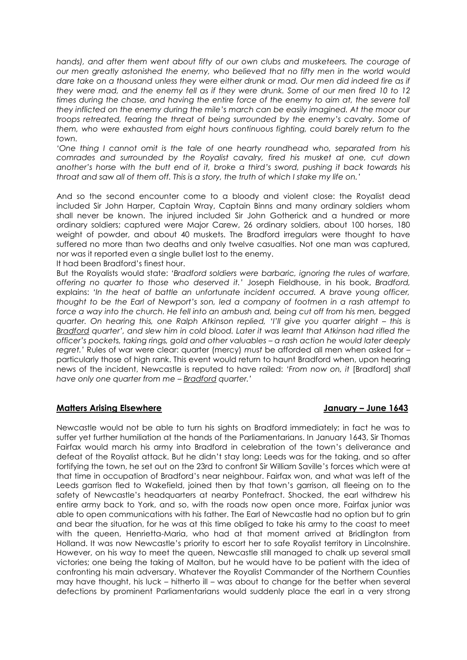*hands), and after them went about fifty of our own clubs and musketeers. The courage of our men greatly astonished the enemy, who believed that no fifty men in the world would dare take on a thousand unless they were either drunk or mad. Our men did indeed fire as if they were mad, and the enemy fell as if they were drunk. Some of our men fired 10 to 12*  times during the chase, and having the entire force of the enemy to aim at, the severe toll *they inflicted on the enemy during the mile's march can be easily imagined. At the moor our troops retreated, fearing the threat of being surrounded by the enemy's cavalry. Some of them, who were exhausted from eight hours continuous fighting, could barely return to the town.*

*'One thing I cannot omit is the tale of one hearty roundhead who, separated from his comrades and surrounded by the Royalist cavalry, fired his musket at one, cut down another's horse with the butt end of it, broke a third's sword, pushing it back towards his throat and saw all of them off. This is a story, the truth of which I stake my life on.'* 

And so the second encounter come to a bloody and violent close: the Royalist dead included Sir John Harper, Captain Wray, Captain Binns and many ordinary soldiers whom shall never be known. The injured included Sir John Gotherick and a hundred or more ordinary soldiers; captured were Major Carew, 26 ordinary soldiers, about 100 horses, 180 weight of powder, and about 40 muskets. The Bradford irregulars were thought to have suffered no more than two deaths and only twelve casualties. Not one man was captured, nor was it reported even a single bullet lost to the enemy.

It had been Bradford's finest hour.

But the Royalists would state: *'Bradford soldiers were barbaric, ignoring the rules of warfare, offering no quarter to those who deserved it.'* Joseph Fieldhouse, in his book, *Bradford,* explains: *'In the heat of battle an unfortunate incident occurred. A brave young officer, thought to be the Earl of Newport's son, led a company of footmen in a rash attempt to force a way into the church. He fell into an ambush and, being cut off from his men, begged quarter. On hearing this, one Ralph Atkinson replied, 'I'll give you quarter alright – this is Bradford quarter', and slew him in cold blood. Later it was learnt that Atkinson had rifled the officer's pockets, taking rings, gold and other valuables – a rash action he would later deeply regret.'* Rules of war were clear: quarter (mercy) *must* be afforded all men when asked for – particularly those of high rank. This event would return to haunt Bradford when, upon hearing news of the incident, Newcastle is reputed to have railed: *'From now on, it* [Bradford] *shall have only one quarter from me – Bradford quarter.'* 

## **Matters Arising Elsewhere January – June 1643**

#### Newcastle would not be able to turn his sights on Bradford immediately; in fact he was to suffer yet further humiliation at the hands of the Parliamentarians. In January 1643, Sir Thomas Fairfax would march his army into Bradford in celebration of the town's deliverance and defeat of the Royalist attack. But he didn't stay long: Leeds was for the taking, and so after fortifying the town, he set out on the 23rd to confront Sir William Saville's forces which were at that time in occupation of Bradford's near neighbour. Fairfax won, and what was left of the Leeds garrison fled to Wakefield, joined then by that town's garrison, all fleeing on to the safety of Newcastle's headquarters at nearby Pontefract. Shocked, the earl withdrew his entire army back to York, and so, with the roads now open once more, Fairfax junior was able to open communications with his father. The Earl of Newcastle had no option but to grin and bear the situation, for he was at this time obliged to take his army to the coast to meet with the queen, Henrietta-Maria, who had at that moment arrived at Bridlington from Holland. It was now Newcastle's priority to escort her to safe Royalist territory in Lincolnshire. However, on his way to meet the queen, Newcastle still managed to chalk up several small victories; one being the taking of Malton, but he would have to be patient with the idea of confronting his main adversary. Whatever the Royalist Commander of the Northern Counties may have thought, his luck – hitherto ill – was about to change for the better when several defections by prominent Parliamentarians would suddenly place the earl in a very strong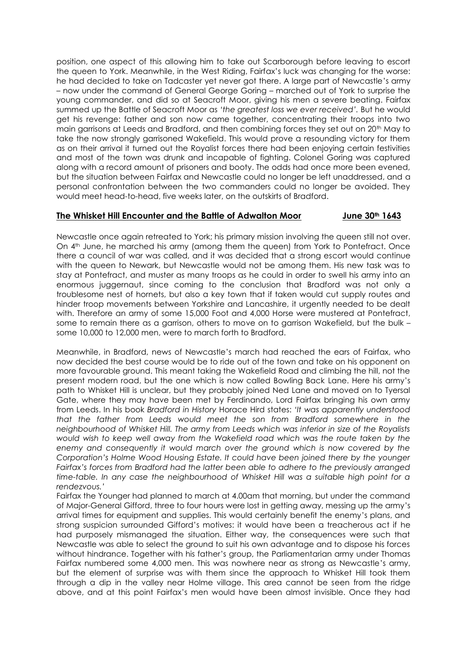position, one aspect of this allowing him to take out Scarborough before leaving to escort the queen to York. Meanwhile, in the West Riding, Fairfax's luck was changing for the worse: he had decided to take on Tadcaster yet never got there. A large part of Newcastle's army – now under the command of General George Goring – marched out of York to surprise the young commander, and did so at Seacroft Moor, giving his men a severe beating. Fairfax summed up the Battle of Seacroft Moor as *'the greatest loss we ever received'.* But he would get his revenge: father and son now came together, concentrating their troops into two main garrisons at Leeds and Bradford, and then combining forces they set out on 20th May to take the now strongly garrisoned Wakefield. This would prove a resounding victory for them as on their arrival it turned out the Royalist forces there had been enjoying certain festivities and most of the town was drunk and incapable of fighting. Colonel Goring was captured along with a record amount of prisoners and booty. The odds had once more been evened, but the situation between Fairfax and Newcastle could no longer be left unaddressed, and a personal confrontation between the two commanders could no longer be avoided. They would meet head-to-head, five weeks later, on the outskirts of Bradford.

# **The Whisket Hill Encounter and the Battle of Adwalton Moor June 30th 1643**

Newcastle once again retreated to York; his primary mission involving the queen still not over. On 4th June, he marched his army (among them the queen) from York to Pontefract. Once there a council of war was called, and it was decided that a strong escort would continue with the queen to Newark, but Newcastle would not be among them. His new task was to stay at Pontefract, and muster as many troops as he could in order to swell his army into an enormous juggernaut, since coming to the conclusion that Bradford was not only a troublesome nest of hornets, but also a key town that if taken would cut supply routes and hinder troop movements between Yorkshire and Lancashire, it urgently needed to be dealt with. Therefore an army of some 15,000 Foot and 4,000 Horse were mustered at Pontefract, some to remain there as a garrison, others to move on to garrison Wakefield, but the bulk – some 10,000 to 12,000 men, were to march forth to Bradford.

Meanwhile, in Bradford, news of Newcastle's march had reached the ears of Fairfax, who now decided the best course would be to ride out of the town and take on his opponent on more favourable ground. This meant taking the Wakefield Road and climbing the hill, not the present modern road, but the one which is now called Bowling Back Lane. Here his army's path to Whisket Hill is unclear, but they probably joined Ned Lane and moved on to Tyersal Gate, where they may have been met by Ferdinando, Lord Fairfax bringing his own army from Leeds. In his book *Bradford in History* Horace Hird states: *'It was apparently understood that the father from Leeds would meet the son from Bradford somewhere in the neighbourhood of Whisket Hill. The army from Leeds which was inferior in size of the Royalists would wish to keep well away from the Wakefield road which was the route taken by the enemy and consequently it would march over the ground which is now covered by the Corporation's Holme Wood Housing Estate. It could have been joined there by the younger Fairfax's forces from Bradford had the latter been able to adhere to the previously arranged time-table. In any case the neighbourhood of Whisket Hill was a suitable high point for a rendezvous.'*

Fairfax the Younger had planned to march at 4.00am that morning, but under the command of Major-General Gifford, three to four hours were lost in getting away, messing up the army's arrival times for equipment and supplies. This would certainly benefit the enemy's plans, and strong suspicion surrounded Gifford's motives: it would have been a treacherous act if he had purposely mismanaged the situation. Either way, the consequences were such that Newcastle was able to select the ground to suit his own advantage and to dispose his forces without hindrance. Together with his father's group, the Parliamentarian army under Thomas Fairfax numbered some 4,000 men. This was nowhere near as strong as Newcastle's army, but the element of surprise was with them since the approach to Whisket Hill took them through a dip in the valley near Holme village. This area cannot be seen from the ridge above, and at this point Fairfax's men would have been almost invisible. Once they had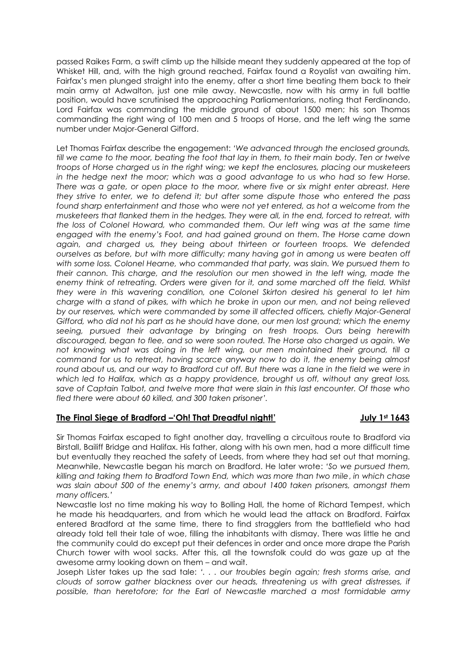passed Raikes Farm, a swift climb up the hillside meant they suddenly appeared at the top of Whisket Hill, and, with the high ground reached, Fairfax found a Royalist van awaiting him. Fairfax's men plunged straight into the enemy, after a short time beating them back to their main army at Adwalton, just one mile away. Newcastle, now with his army in full battle position, would have scrutinised the approaching Parliamentarians, noting that Ferdinando, Lord Fairfax was commanding the middle ground of about 1500 men; his son Thomas commanding the right wing of 100 men and 5 troops of Horse, and the left wing the same number under Major-General Gifford.

Let Thomas Fairfax describe the engagement: *'We advanced through the enclosed grounds, till we came to the moor, beating the foot that lay in them, to their main body. Ten or twelve troops of Horse charged us in the right wing; we kept the enclosures, placing our musketeers in the hedge next the moor; which was a good advantage to us who had so few Horse. There was a gate, or open place to the moor, where five or six might enter abreast. Here they strive to enter, we to defend it; but after some dispute those who entered the pass found sharp entertainment and those who were not yet entered, as hot a welcome from the musketeers that flanked them in the hedges. They were all, in the end, forced to retreat, with the loss of Colonel Howard, who commanded them. Our left wing was at the same time engaged with the enemy's Foot, and had gained ground on them. The Horse came down again, and charged us, they being about thirteen or fourteen troops. We defended ourselves as before, but with more difficulty; many having got in among us were beaten off with some loss. Colonel Hearne, who commanded that party, was slain. We pursued them to their cannon. This charge, and the resolution our men showed in the left wing, made the enemy think of retreating. Orders were given for it, and some marched off the field. Whilst they were in this wavering condition, one Colonel Skirton desired his general to let him charge with a stand of pikes, with which he broke in upon our men, and not being relieved by our reserves, which were commanded by some ill affected officers, chiefly Major-General Gifford, who did not his part as he should have done, our men lost ground; which the enemy seeing, pursued their advantage by bringing on fresh troops. Ours being herewith discouraged, began to flee, and so were soon routed. The Horse also charged us again. We not knowing what was doing in the left wing, our men maintained their ground, till a command for us to retreat, having scarce anyway now to do it, the enemy being almost*  round about us, and our way to Bradford cut off. But there was a lane in the field we were in *which led to Halifax, which as a happy providence, brought us off, without any great loss, save of Captain Talbot, and twelve more that were slain in this last encounter. Of those who fled there were about 60 killed, and 300 taken prisoner'.* 

## **The Final Siege of Bradford –'Oh! That Dreadful night!' July 1st 1643**

Sir Thomas Fairfax escaped to fight another day, travelling a circuitous route to Bradford via Birstall, Bailiff Bridge and Halifax. His father, along with his own men, had a more difficult time but eventually they reached the safety of Leeds, from where they had set out that morning. Meanwhile, Newcastle began his march on Bradford. He later wrote: *'So we pursued them, killing and taking them to Bradford Town End, which was more than two mile*, *in which chase was slain about 500 of the enemy's army, and about 1400 taken prisoners, amongst them many officers.'*

Newcastle lost no time making his way to Bolling Hall, the home of Richard Tempest, which he made his headquarters, and from which he would lead the attack on Bradford. Fairfax entered Bradford at the same time, there to find stragglers from the battlefield who had already told tell their tale of woe, filling the inhabitants with dismay. There was little he and the community could do except put their defences in order and once more drape the Parish Church tower with wool sacks. After this, all the townsfolk could do was gaze up at the awesome army looking down on them – and wait.

Joseph Lister takes up the sad tale: *'. . . our troubles begin again; fresh storms arise, and clouds of sorrow gather blackness over our heads, threatening us with great distresses, if possible, than heretofore; for the Earl of Newcastle marched a most formidable army*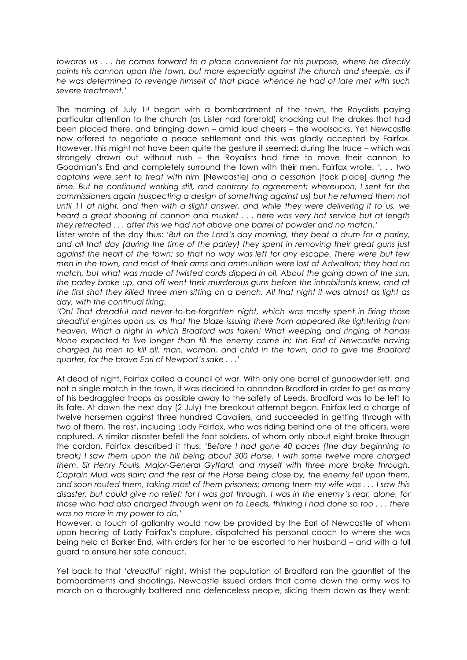*towards us . . . he comes forward to a place convenient for his purpose, where he directly*  points his cannon upon the town, but more especially against the church and steeple, as if *he was determined to revenge himself of that place whence he had of late met with such severe treatment.'*

The morning of July 1st began with a bombardment of the town, the Royalists paying particular attention to the church (as Lister had foretold) knocking out the drakes that had been placed there, and bringing down – amid loud cheers – the woolsacks. Yet Newcastle now offered to negotiate a peace settlement and this was gladly accepted by Fairfax. However, this might not have been quite the gesture it seemed: during the truce – which was strangely drawn out without rush – the Royalists had time to move their cannon to Goodman's End and completely surround the town with their men. Fairfax wrote: *'. . . two captains were sent to treat with him* [Newcastle] *and a cessation* [took place] *during the time. But he continued working still, and contrary to agreement; whereupon, I sent for the commissioners again (suspecting a design of something against us) but he returned them not until 11 at night, and then with a slight answer, and while they were delivering it to us, we heard a great shooting of cannon and musket . . . here was very hot service but at length they retreated . . . after this we had not above one barrel of powder and no match.'*

Lister wrote of the day thus: *'But on the Lord's day morning, they beat a drum for a parley, and all that day (during the time of the parley) they spent in removing their great guns just against the heart of the town; so that no way was left for any escape. There were but few men in the town, and most of their arms and ammunition were lost at Adwalton; they had no match, but what was made of twisted cords dipped in oil. About the going down of the sun, the parley broke up, and off went their murderous guns before the inhabitants knew, and at the first shot they killed three men sitting on a bench. All that night it was almost as light as day, with the continual firing.* 

*'Oh! That dreadful and never-to-be-forgotten night, which was mostly spent in firing those dreadful engines upon us, as that the blaze issuing there from appeared like lightening from heaven. What a night in which Bradford was taken! What weeping and ringing of hands! None expected to live longer than till the enemy came in; the Earl of Newcastle having charged his men to kill all, man, woman, and child in the town, and to give the Bradford quarter, for the brave Earl of Newport's sake . . .'*

At dead of night, Fairfax called a council of war. With only one barrel of gunpowder left, and not a single match in the town, it was decided to abandon Bradford in order to get as many of his bedraggled troops as possible away to the safety of Leeds. Bradford was to be left to its fate. At dawn the next day (2 July) the breakout attempt began. Fairfax led a charge of twelve horsemen against three hundred Cavaliers, and succeeded in getting through with two of them. The rest, including Lady Fairfax, who was riding behind one of the officers, were captured. A similar disaster befell the foot soldiers, of whom only about eight broke through the cordon. Fairfax described it thus: *'Before I had gone 40 paces (the day beginning to break) I saw them upon the hill being about 300 Horse. I with some twelve more charged them. Sir Henry Foulis, Major-General Gyffard, and myself with three more broke through. Captain Mud was slain; and the rest of the Horse being close by, the enemy fell upon them, and soon routed them, taking most of them prisoners; among them my wife was . . . I saw this disaster, but could give no relief; for I was got through, I was in the enemy's rear, alone, for those who had also charged through went on to Leeds, thinking I had done so too . . . there was no more in my power to do.'*

However, a touch of gallantry would now be provided by the Earl of Newcastle of whom upon hearing of Lady Fairfax's capture, dispatched his personal coach to where she was being held at Barker End, with orders for her to be escorted to her husband – and with a full guard to ensure her safe conduct.

Yet back to that *'dreadful'* night. Whilst the population of Bradford ran the gauntlet of the bombardments and shootings, Newcastle issued orders that come dawn the army was to march on a thoroughly battered and defenceless people, slicing them down as they went: